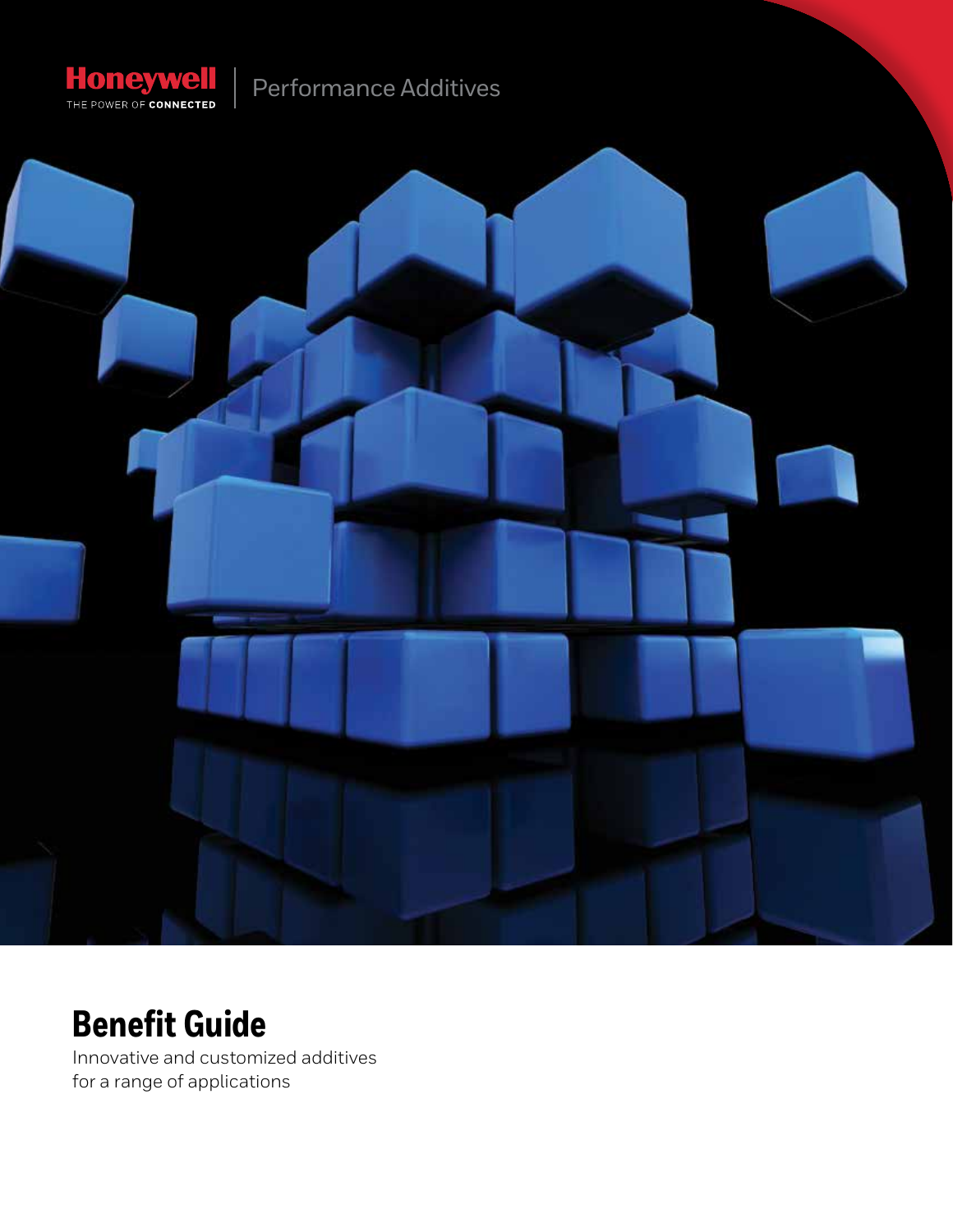

# Performance Additives



# **Benefit Guide**

Innovative and customized additives for a range of applications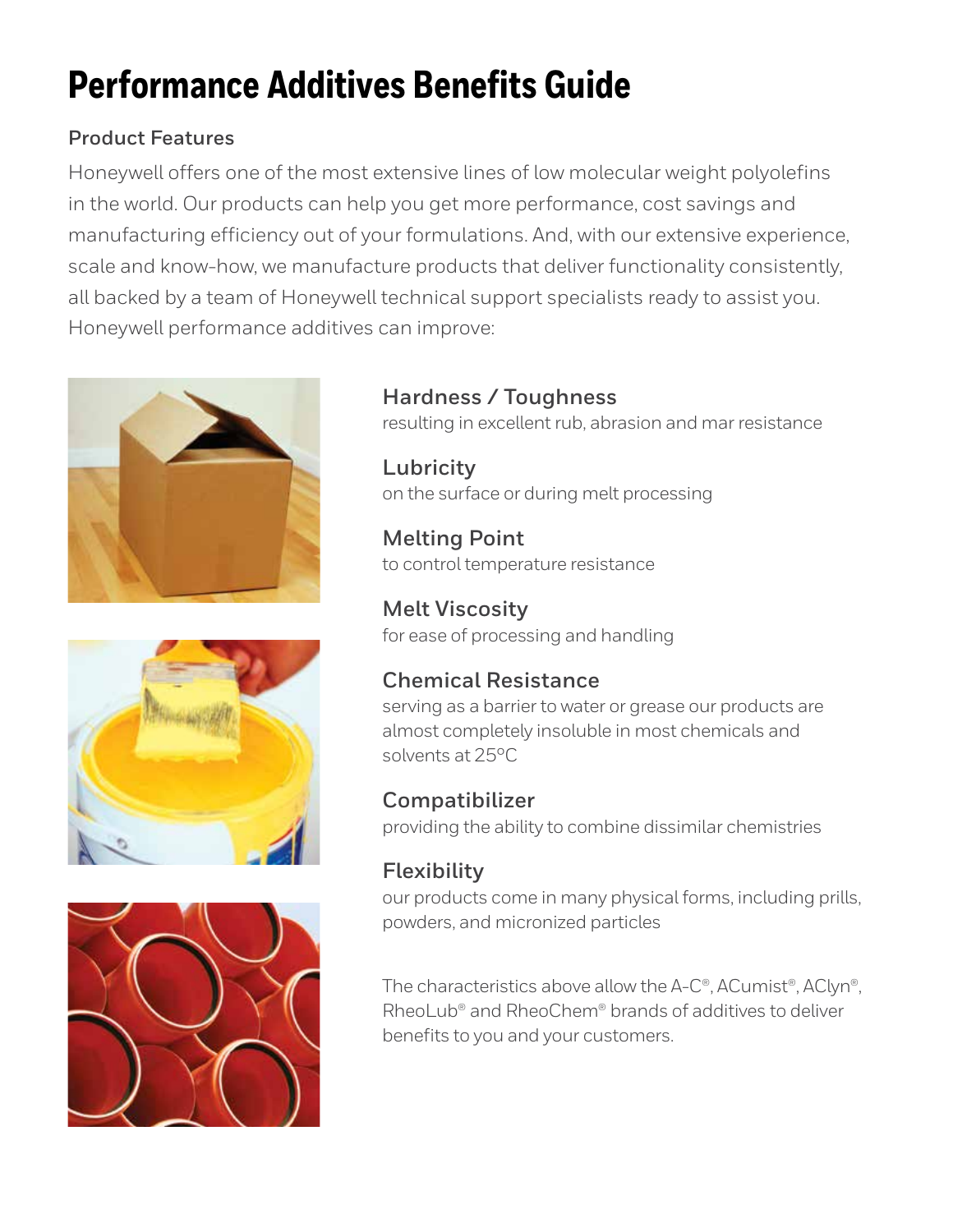# **Performance Additives Benefits Guide**

### **Product Features**

Honeywell offers one of the most extensive lines of low molecular weight polyolefins in the world. Our products can help you get more performance, cost savings and manufacturing efficiency out of your formulations. And, with our extensive experience, scale and know-how, we manufacture products that deliver functionality consistently, all backed by a team of Honeywell technical support specialists ready to assist you. Honeywell performance additives can improve:







### **Hardness / Toughness**

resulting in excellent rub, abrasion and mar resistance

**Lubricity** on the surface or during melt processing

**Melting Point** to control temperature resistance

**Melt Viscosity** for ease of processing and handling

## **Chemical Resistance**

serving as a barrier to water or grease our products are almost completely insoluble in most chemicals and solvents at 25°C

**Compatibilizer** providing the ability to combine dissimilar chemistries

## **Flexibility**

our products come in many physical forms, including prills, powders, and micronized particles

The characteristics above allow the A-C®, ACumist®, AClyn®, RheoLub® and RheoChem® brands of additives to deliver benefits to you and your customers.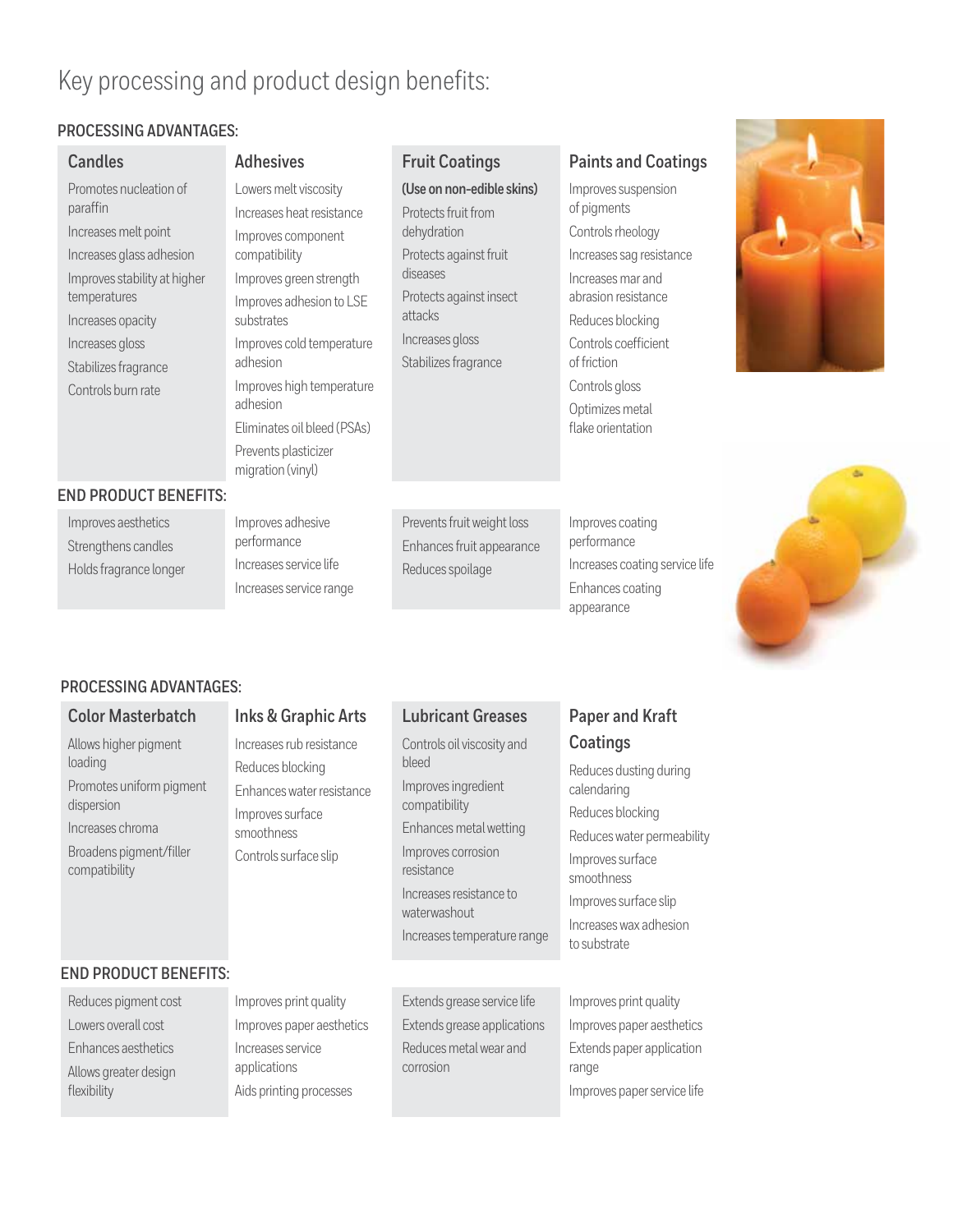# Key processing and product design benefits:

### **PROCESSING ADVANTAGES:**

| <b>Candles</b>                                                                                                                                                                                                               | <b>Adhesives</b>                                                                                                                                                                                                                                                                                                             | <b>Fruit Coatings</b>                                                                                                                                                                  | <b>Paints and Coatings</b>                                                                                                                                                                                                                                 |  |  |
|------------------------------------------------------------------------------------------------------------------------------------------------------------------------------------------------------------------------------|------------------------------------------------------------------------------------------------------------------------------------------------------------------------------------------------------------------------------------------------------------------------------------------------------------------------------|----------------------------------------------------------------------------------------------------------------------------------------------------------------------------------------|------------------------------------------------------------------------------------------------------------------------------------------------------------------------------------------------------------------------------------------------------------|--|--|
| Promotes nucleation of<br>paraffin<br>Increases melt point<br>Increases glass adhesion<br>Improves stability at higher<br>temperatures<br>Increases opacity<br>Increases gloss<br>Stabilizes fragrance<br>Controls burn rate | Lowers melt viscosity<br>Increases heat resistance<br>Improves component<br>compatibility<br>Improves green strength<br>Improves adhesion to LSE<br>substrates<br>Improves cold temperature<br>adhesion<br>Improves high temperature<br>adhesion<br>Eliminates oil bleed (PSAs)<br>Prevents plasticizer<br>migration (vinyl) | (Use on non-edible skins)<br>Protects fruit from<br>dehydration<br>Protects against fruit<br>diseases<br>Protects against insect<br>attacks<br>Increases gloss<br>Stabilizes fragrance | Improves suspension<br>of pigments<br>Controls rheology<br>Increases sag resistance<br>Increases mar and<br>abrasion resistance<br>Reduces blocking<br>Controls coefficient<br>of friction<br>Controls gloss<br>Optimizes metal<br>flake orientation<br>ىك |  |  |
| <b>END PRODUCT BENEFITS:</b>                                                                                                                                                                                                 |                                                                                                                                                                                                                                                                                                                              |                                                                                                                                                                                        |                                                                                                                                                                                                                                                            |  |  |
| Improves aesthetics<br>Strengthens candles<br>Holds fragrance longer                                                                                                                                                         | Improves adhesive<br>performance<br>Increases service life<br>Increases service range                                                                                                                                                                                                                                        | Prevents fruit weight loss<br>Enhances fruit appearance<br>Reduces spoilage                                                                                                            | Improves coating<br>performance<br>Increases coating service life<br>Enhances coating<br>appearance                                                                                                                                                        |  |  |

### **PROCESSING ADVANTAGES:**

flexibility

| <b>Color Masterbatch</b>                                                                                                                   | <b>Inks &amp; Graphic Arts</b>                                                                                                       | <b>Lubricant Greases</b>                                                                                                                                                                                            | <b>Paper and Kraft</b>                                                                                                                                                                                   |
|--------------------------------------------------------------------------------------------------------------------------------------------|--------------------------------------------------------------------------------------------------------------------------------------|---------------------------------------------------------------------------------------------------------------------------------------------------------------------------------------------------------------------|----------------------------------------------------------------------------------------------------------------------------------------------------------------------------------------------------------|
| Allows higher pigment<br>loading<br>Promotes uniform pigment<br>dispersion<br>Increases chroma<br>Broadens pigment/filler<br>compatibility | Increases rub resistance<br>Reduces blocking<br>Enhances water resistance<br>Improves surface<br>smoothness<br>Controls surface slip | Controls oil viscosity and<br>bleed<br>Improves ingredient<br>compatibility<br>Enhances metal wetting<br>Improves corrosion<br>resistance<br>Increases resistance to<br>waterwashout<br>Increases temperature range | Coatings<br>Reduces dusting during<br>calendaring<br>Reduces blocking<br>Reduces water permeability<br>Improves surface<br>smoothness<br>Improves surface slip<br>Increases wax adhesion<br>to substrate |
| <b>END PRODUCT BENEFITS:</b>                                                                                                               |                                                                                                                                      |                                                                                                                                                                                                                     |                                                                                                                                                                                                          |
| Reduces pigment cost<br>Lowers overall cost<br>Enhances aesthetics<br>Allows greater design                                                | Improves print quality<br>Improves paper aesthetics<br>Increases service<br>applications                                             | Extends grease service life<br>Extends grease applications<br>Reduces metal wear and<br>corrosion                                                                                                                   | Improves print quality<br>Improves paper aesthetics<br>Extends paper application<br>range                                                                                                                |

Aids printing processes

Improves paper service life

**Contract Contract Contract Contract**